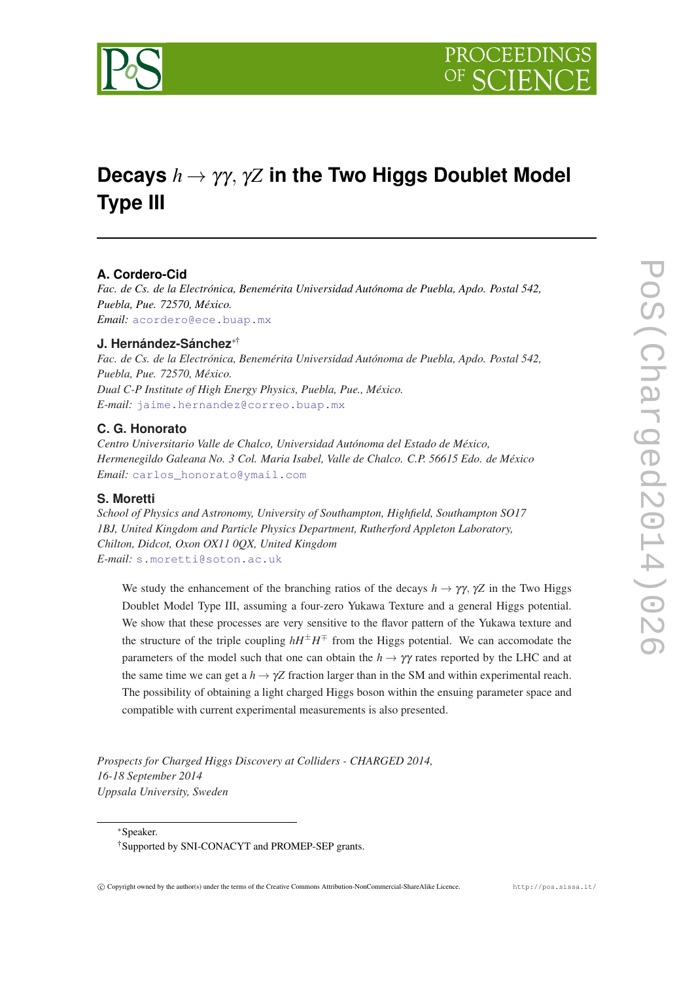

# **Decays** *h* → γγ, γ*Z* **in the Two Higgs Doublet Model Type III**

## **A. Cordero-Cid**

*Fac. de Cs. de la Electrónica, Benemérita Universidad Autónoma de Puebla, Apdo. Postal 542, Puebla, Pue. 72570, México. Email:* [acordero@ece.buap.mx](mailto:acordero@ece.buap.mx)

## **J. Hernández-Sánchez**∗†

*Fac. de Cs. de la Electrónica, Benemérita Universidad Autónoma de Puebla, Apdo. Postal 542, Puebla, Pue. 72570, México. Dual C-P Institute of High Energy Physics, Puebla, Pue., México. E-mail:* [jaime.hernandez@correo.buap.mx](mailto:jaime.hernandez@correo.buap.mx)

## **C. G. Honorato**

*Centro Universitario Valle de Chalco, Universidad Autónoma del Estado de México, Hermenegildo Galeana No. 3 Col. Maria Isabel, Valle de Chalco. C.P. 56615 Edo. de México Email:* [carlos\\_honorato@ymail.com](mailto:carlosprotect T1	extunderscore honorato@ymail.com)

## **S. Moretti**

*School of Physics and Astronomy, University of Southampton, Highfield, Southampton SO17 1BJ, United Kingdom and Particle Physics Department, Rutherford Appleton Laboratory, Chilton, Didcot, Oxon OX11 0QX, United Kingdom E-mail:* [s.moretti@soton.ac.uk](mailto:s.moretti@soton.ac.uk)

We study the enhancement of the branching ratios of the decays  $h \to \gamma \gamma$ ,  $\gamma Z$  in the Two Higgs Doublet Model Type III, assuming a four-zero Yukawa Texture and a general Higgs potential. We show that these processes are very sensitive to the flavor pattern of the Yukawa texture and the structure of the triple coupling  $hH^{\pm}H^{\mp}$  from the Higgs potential. We can accomodate the parameters of the model such that one can obtain the  $h \to \gamma \gamma$  rates reported by the LHC and at the same time we can get a  $h \to \gamma Z$  fraction larger than in the SM and within experimental reach. The possibility of obtaining a light charged Higgs boson within the ensuing parameter space and compatible with current experimental measurements is also presented.

*Prospects for Charged Higgs Discovery at Colliders - CHARGED 2014, 16-18 September 2014 Uppsala University, Sweden*

<sup>∗</sup>Speaker.

<sup>†</sup>Supported by SNI-CONACYT and PROMEP-SEP grants.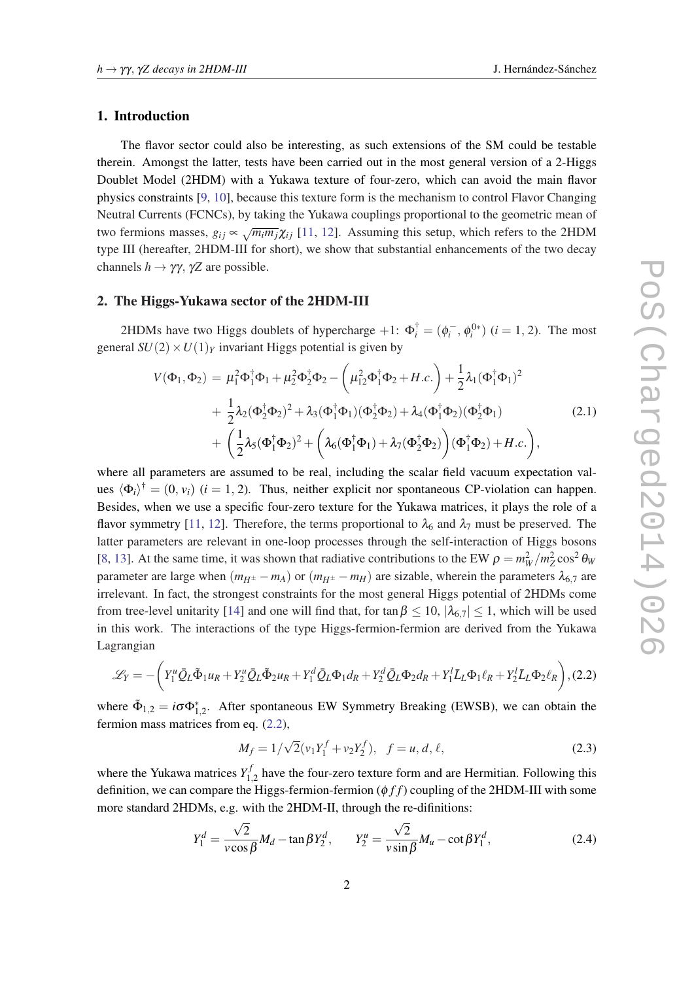#### <span id="page-1-0"></span>1. Introduction

The flavor sector could also be interesting, as such extensions of the SM could be testable therein. Amongst the latter, tests have been carried out in the most general version of a 2-Higgs Doublet Model (2HDM) with a Yukawa texture of four-zero, which can avoid the main flavor physics constraints [\[9,](#page-5-0) [10](#page-5-0)], because this texture form is the mechanism to control Flavor Changing Neutral Currents (FCNCs), by taking the Yukawa couplings proportional to the geometric mean of two fermions masses,  $g_{ij} \propto \sqrt{m_i m_j} \chi_{ij}$  [[11,](#page-5-0) [12\]](#page-5-0). Assuming this setup, which refers to the 2HDM type III (hereafter, 2HDM-III for short), we show that substantial enhancements of the two decay channels  $h \to \gamma \gamma$ ,  $\gamma Z$  are possible.

## 2. The Higgs-Yukawa sector of the 2HDM-III

2HDMs have two Higgs doublets of hypercharge  $+1$ :  $\Phi_i^{\dagger} = (\phi_i^-, \phi_i^{0*})$   $(i = 1, 2)$ . The most general  $SU(2) \times U(1)_Y$  invariant Higgs potential is given by

$$
V(\Phi_1, \Phi_2) = \mu_1^2 \Phi_1^{\dagger} \Phi_1 + \mu_2^2 \Phi_2^{\dagger} \Phi_2 - \left(\mu_{12}^2 \Phi_1^{\dagger} \Phi_2 + H.c.\right) + \frac{1}{2} \lambda_1 (\Phi_1^{\dagger} \Phi_1)^2 + \frac{1}{2} \lambda_2 (\Phi_2^{\dagger} \Phi_2)^2 + \lambda_3 (\Phi_1^{\dagger} \Phi_1) (\Phi_2^{\dagger} \Phi_2) + \lambda_4 (\Phi_1^{\dagger} \Phi_2) (\Phi_2^{\dagger} \Phi_1) + \left(\frac{1}{2} \lambda_5 (\Phi_1^{\dagger} \Phi_2)^2 + \left(\lambda_6 (\Phi_1^{\dagger} \Phi_1) + \lambda_7 (\Phi_2^{\dagger} \Phi_2)\right) (\Phi_1^{\dagger} \Phi_2) + H.c.\right),
$$
\n(2.1)

where all parameters are assumed to be real, including the scalar field vacuum expectation values  $\langle \Phi_i \rangle^{\dagger} = (0, v_i)$  (*i* = 1, 2). Thus, neither explicit nor spontaneous CP-violation can happen. Besides, when we use a specific four-zero texture for the Yukawa matrices, it plays the role of a flavor symmetry [[11,](#page-5-0) [12](#page-5-0)]. Therefore, the terms proportional to  $\lambda_6$  and  $\lambda_7$  must be preserved. The latter parameters are relevant in one-loop processes through the self-interaction of Higgs bosons [[8](#page-5-0), [13\]](#page-5-0). At the same time, it was shown that radiative contributions to the EW  $\rho = m_W^2/m_Z^2 \cos^2 \theta_W$ parameter are large when  $(m_{H^{\pm}} - m_A)$  or  $(m_{H^{\pm}} - m_H)$  are sizable, wherein the parameters  $\lambda_{6,7}$  are irrelevant. In fact, the strongest constraints for the most general Higgs potential of 2HDMs come from tree-level unitarity [\[14](#page-5-0)] and one will find that, for tan  $\beta \le 10$ ,  $|\lambda_{6.7}| \le 1$ , which will be used in this work. The interactions of the type Higgs-fermion-fermion are derived from the Yukawa Lagrangian

$$
\mathcal{L}_Y = -\bigg(Y_1^u \bar{Q}_L \tilde{\Phi}_1 u_R + Y_2^u \bar{Q}_L \tilde{\Phi}_2 u_R + Y_1^d \bar{Q}_L \Phi_1 d_R + Y_2^d \bar{Q}_L \Phi_2 d_R + Y_1^l \bar{L}_L \Phi_1 \ell_R + Y_2^l \bar{L}_L \Phi_2 \ell_R\bigg),
$$
(2.2)

where  $\tilde{\Phi}_{1,2} = i\sigma \Phi_{1,2}^*$ . After spontaneous EW Symmetry Breaking (EWSB), we can obtain the fermion mass matrices from eq. (2.2),

$$
M_f = 1/\sqrt{2}(v_1 Y_1^f + v_2 Y_2^f), \quad f = u, d, \ell,
$$
\n(2.3)

where the Yukawa matrices  $Y_1^f$  $I_{1,2}^{\prime}$  have the four-zero texture form and are Hermitian. Following this definition, we can compare the Higgs-fermion-fermion (φ *f f*) coupling of the 2HDM-III with some more standard 2HDMs, e.g. with the 2HDM-II, through the re-difinitions:

$$
Y_1^d = \frac{\sqrt{2}}{v \cos \beta} M_d - \tan \beta Y_2^d, \qquad Y_2^u = \frac{\sqrt{2}}{v \sin \beta} M_u - \cot \beta Y_1^d,\tag{2.4}
$$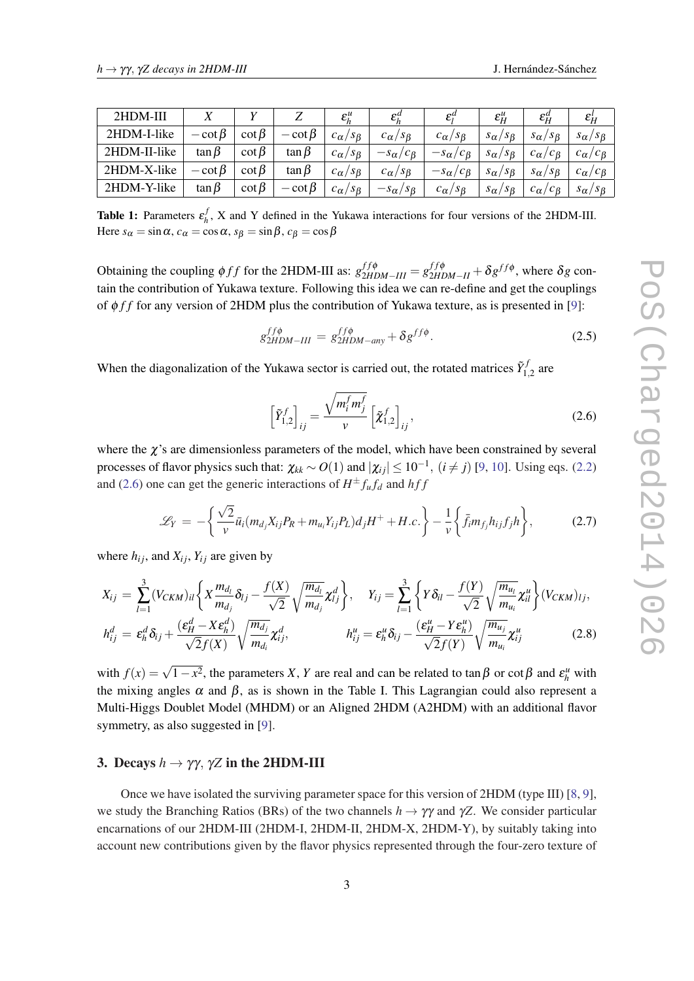<span id="page-2-0"></span>

| 2HDM-III     |              |              |              | $\varepsilon_h^{\mu}$                    | $\varepsilon_h^u$                          | $\varepsilon_i^u$       | $\varepsilon_H^{\mu}$                      | $\varepsilon_H^a$                 | $\mathcal{E}^{\iota}_H$                 |
|--------------|--------------|--------------|--------------|------------------------------------------|--------------------------------------------|-------------------------|--------------------------------------------|-----------------------------------|-----------------------------------------|
| 2HDM-I-like  | $-\cot\beta$ | $\cot \beta$ | $-\cot\beta$ | $c_{\alpha}$<br>$\sqrt{S_{\beta}}$       | $c_{\alpha}/s_{\beta}$                     | $c_{\alpha}/s_{\beta}$  | $^{\prime}$ S $_{\beta}$<br>$s_{\alpha}$ / | $S_{\alpha}/S_{\beta}$            | $s_{\alpha}/s_{\beta}$                  |
| 2HDM-II-like | $\tan \beta$ | $\cot \beta$ | $\tan \beta$ | $^{\prime}$ S $_{\beta}$<br>$c_{\alpha}$ | $-s_{\alpha}$ /<br>$c_{\beta}$             | $-s_{\alpha}/c_{\beta}$ | $^{\circ}$ S $_{\beta}$<br>$s_{\alpha}$    | $c_{\beta}$<br>$c_{\alpha}$       | ${}'c_{\beta}$<br>$c_{\alpha/}$         |
| 2HDM-X-like  | $-\cot\beta$ | $\cot \beta$ | $\tan \beta$ | $c_{\alpha}$<br>$S_{\beta}$              | $^{\prime}$ S $_{\beta}$<br>$c_{\alpha}$ / | $-s_{\alpha}/c_{\beta}$ | $^{\prime}$ S $_{\beta}$<br>$s_{\alpha}$   | $/S_{\beta}$<br>$s_{\alpha}$      | ${}^{\prime}c_{\beta}$<br>$c_{\alpha/}$ |
| 2HDM-Y-like  | $\tan \beta$ | $\cot \beta$ | $-\cot\beta$ | $c_{\alpha}$<br>$^{\prime}$ S $_{\beta}$ | $- s_{\alpha/\sim}$ .<br>$s_{\beta}$       | $c_{\alpha}/s_{\beta}$  | $^{\prime}$ S $_{\beta}$<br>$s_{\alpha}$   | ${}^{c}C_{\beta}$<br>$c_{\alpha}$ | $s_{\alpha}/s_{\beta}$                  |

**Table 1:** Parameters  $\varepsilon_h^j$  $h_h$ , X and Y defined in the Yukawa interactions for four versions of the 2HDM-III. Here  $s_\alpha = \sin \alpha$ ,  $c_\alpha = \cos \alpha$ ,  $s_\beta = \sin \beta$ ,  $c_\beta = \cos \beta$ 

Obtaining the coupling  $\phi ff$  for the 2HDM-III as:  $g_{2HDM-III}^{ff\phi} = g_{2HDM-II}^{ff\phi} + \delta g^{ff\phi}$ , where  $\delta g$  contain the contribution of Yukawa texture. Following this idea we can re-define and get the couplings of φ *f f* for any version of 2HDM plus the contribution of Yukawa texture, as is presented in [\[9](#page-5-0)]:

$$
g_{2HDM-III}^{ff\phi} = g_{2HDM-any}^{ff\phi} + \delta g^{ff\phi}.
$$
 (2.5)

When the diagonalization of the Yukawa sector is carried out, the rotated matrices  $\tilde{Y}_1^{\dagger}$  $i_{1,2}^{j}$  are

$$
\left[\tilde{Y}_{1,2}^f\right]_{ij} = \frac{\sqrt{m_i^f m_j^f}}{v} \left[\tilde{\chi}_{1,2}^f\right]_{ij},\tag{2.6}
$$

where the  $\chi$ 's are dimensionless parameters of the model, which have been constrained by several processes of flavor physics such that:  $\chi_{kk} \sim O(1)$  and  $|\chi_{ij}| \leq 10^{-1}$  $|\chi_{ij}| \leq 10^{-1}$  $|\chi_{ij}| \leq 10^{-1}$ ,  $(i \neq j)$  [[9](#page-5-0), 10]. Using eqs. ([2.2](#page-1-0)) and (2.6) one can get the generic interactions of  $H^{\pm} f_u f_d$  and  $h f f$ 

$$
\mathscr{L}_Y = -\bigg\{\frac{\sqrt{2}}{v}\bar{u}_i(m_{d_j}X_{ij}P_R + m_{u_i}Y_{ij}P_L)d_jH^+ + H.c.\bigg\} - \frac{1}{v}\bigg\{\bar{f}_im_{f_j}h_{ij}f_jh\bigg\},\tag{2.7}
$$

where  $h_{ij}$ , and  $X_{ij}$ ,  $Y_{ij}$  are given by

$$
X_{ij} = \sum_{l=1}^{3} (V_{CKM})_{il} \left\{ X \frac{m_{d_l}}{m_{d_j}} \delta_{lj} - \frac{f(X)}{\sqrt{2}} \sqrt{\frac{m_{d_l}}{m_{d_j}}} \chi_{lj}^d \right\}, \quad Y_{ij} = \sum_{l=1}^{3} \left\{ Y \delta_{il} - \frac{f(Y)}{\sqrt{2}} \sqrt{\frac{m_{u_l}}{m_{u_i}}} \chi_{il}^u \right\} (V_{CKM})_{lj},
$$
  
\n
$$
V_{id} = \frac{e^d \delta_{k+1}}{e^d} \left( \frac{\epsilon_H^d - X \epsilon_h^d}{\sqrt{2}} \right) \sqrt{\frac{m_{d_j}}{m_{d_j}}} \chi_{il}^d \quad \text{with} \quad \epsilon_H^u = \epsilon^u \delta_{k+1} \frac{(\epsilon_H^u - Y \epsilon_h^u)}{(\epsilon_H^u - Y \epsilon_h^u)} \sqrt{\frac{m_{u_j}}{m_{u_j}}} \chi_{il}^u \tag{2.8}
$$

$$
h_{ij}^d = \varepsilon_h^d \delta_{ij} + \frac{(\varepsilon_H - \Lambda \varepsilon_h)}{\sqrt{2} f(X)} \sqrt{\frac{m_{d_j}}{m_{d_i}}} \chi_{ij}^d, \qquad h_{ij}^u = \varepsilon_h^u \delta_{ij} - \frac{(\varepsilon_H - \Lambda \varepsilon_h)}{\sqrt{2} f(Y)} \sqrt{\frac{m_{u_j}}{m_{u_i}}} \chi_{ij}^u \qquad (2.8)
$$

with  $f(x) = \sqrt{1 - x^2}$ , the parameters *X*, *Y* are real and can be related to tan  $\beta$  or cot  $\beta$  and  $\varepsilon_h^u$  with the mixing angles  $\alpha$  and  $\beta$ , as is shown in the Table I. This Lagrangian could also represent a Multi-Higgs Doublet Model (MHDM) or an Aligned 2HDM (A2HDM) with an additional flavor symmetry, as also suggested in [\[9\]](#page-5-0).

## 3. Decays  $h \to \gamma \gamma$ ,  $\gamma Z$  in the 2HDM-III

Once we have isolated the surviving parameter space for this version of 2HDM (type III) [[8](#page-5-0), [9\]](#page-5-0), we study the Branching Ratios (BRs) of the two channels  $h \to \gamma \gamma$  and  $\gamma Z$ . We consider particular encarnations of our 2HDM-III (2HDM-I, 2HDM-II, 2HDM-X, 2HDM-Y), by suitably taking into account new contributions given by the flavor physics represented through the four-zero texture of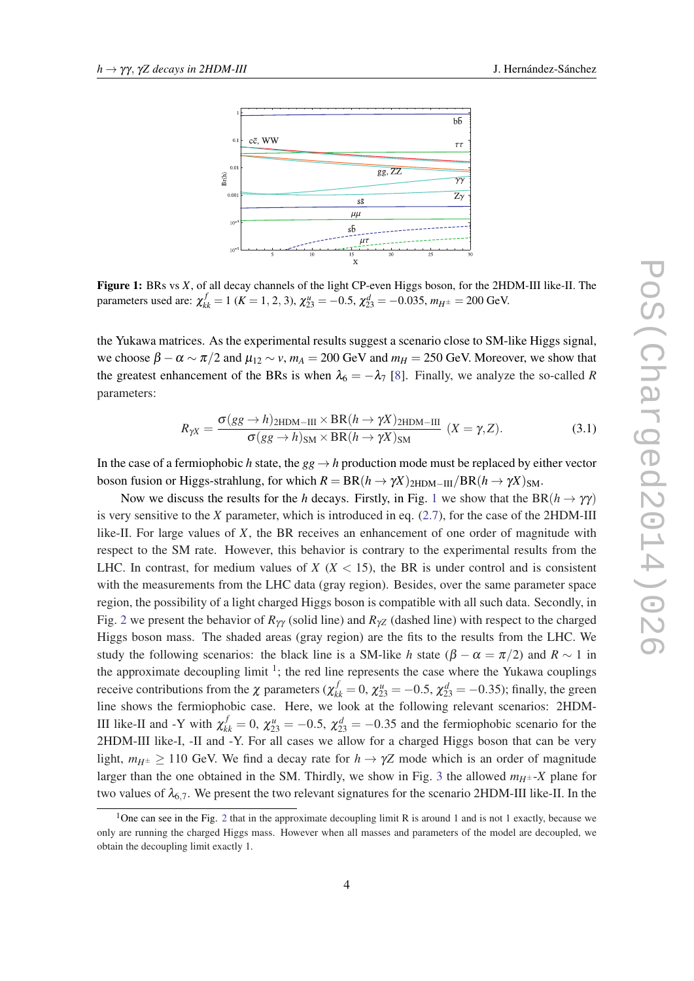

Figure 1: BRs vs *X*, of all decay channels of the light CP-even Higgs boson, for the 2HDM-III like-II. The parameters used are:  $\chi_{kk}^f = 1$  ( $K = 1, 2, 3$ ),  $\chi_{23}^u = -0.5$ ,  $\chi_{23}^d = -0.035$ ,  $m_{H^{\pm}} = 200$  GeV.

the Yukawa matrices. As the experimental results suggest a scenario close to SM-like Higgs signal, we choose  $\beta - \alpha \sim \pi/2$  and  $\mu_{12} \sim v$ ,  $m_A = 200$  GeV and  $m_H = 250$  GeV. Moreover, we show that the greatest enhancement of the BRs is when  $\lambda_6 = -\lambda_7$  [[8](#page-5-0)]. Finally, we analyze the so-called *R* parameters:

$$
R_{\gamma X} = \frac{\sigma(gg \to h)_{2\text{HDM}-\text{III}} \times \text{BR}(h \to \gamma X)_{2\text{HDM}-\text{III}}}{\sigma(gg \to h)_{\text{SM}} \times \text{BR}(h \to \gamma X)_{\text{SM}}} \quad (X = \gamma, Z). \tag{3.1}
$$

In the case of a fermiophobic *h* state, the  $gg \to h$  production mode must be replaced by either vector boson fusion or Higgs-strahlung, for which  $R = BR(h \to \gamma X)_{2HDM-III}/BR(h \to \gamma X)_{SM}$ .

Now we discuss the results for the *h* decays. Firstly, in Fig. 1 we show that the BR( $h \rightarrow \gamma \gamma$ ) is very sensitive to the *X* parameter, which is introduced in eq. ([2.7](#page-2-0)), for the case of the 2HDM-III like-II. For large values of *X*, the BR receives an enhancement of one order of magnitude with respect to the SM rate. However, this behavior is contrary to the experimental results from the LHC. In contrast, for medium values of  $X$  ( $X$  < 15), the BR is under control and is consistent with the measurements from the LHC data (gray region). Besides, over the same parameter space region, the possibility of a light charged Higgs boson is compatible with all such data. Secondly, in Fig. [2](#page-4-0) we present the behavior of  $R_{\gamma\gamma}$  (solid line) and  $R_{\gamma Z}$  (dashed line) with respect to the charged Higgs boson mass. The shaded areas (gray region) are the fits to the results from the LHC. We study the following scenarios: the black line is a SM-like *h* state  $(\beta - \alpha = \pi/2)$  and  $R \sim 1$  in the approximate decoupling limit  $\frac{1}{1}$ ; the red line represents the case where the Yukawa couplings receive contributions from the  $\chi$  parameters ( $\chi^f_{kk} = 0$ ,  $\chi^u_{23} = -0.5$ ,  $\chi^d_{23} = -0.35$ ); finally, the green line shows the fermiophobic case. Here, we look at the following relevant scenarios: 2HDM-III like-II and -Y with  $\chi^f_{kk} = 0$ ,  $\chi^u_{23} = -0.5$ ,  $\chi^d_{23} = -0.35$  and the fermiophobic scenario for the 2HDM-III like-I, -II and -Y. For all cases we allow for a charged Higgs boson that can be very light,  $m_{H^{\pm}} > 110$  GeV. We find a decay rate for  $h \to \gamma Z$  mode which is an order of magnitude larger than the one obtained in the SM. Thirdly, we show in Fig. [3](#page-5-0) the allowed  $m_{H^{\pm}}$ -X plane for two values of  $\lambda_{6.7}$ . We present the two relevant signatures for the scenario 2HDM-III like-II. In the

<sup>&</sup>lt;sup>1</sup>One can see in the Fig. [2](#page-4-0) that in the approximate decoupling limit R is around 1 and is not 1 exactly, because we only are running the charged Higgs mass. However when all masses and parameters of the model are decoupled, we obtain the decoupling limit exactly 1.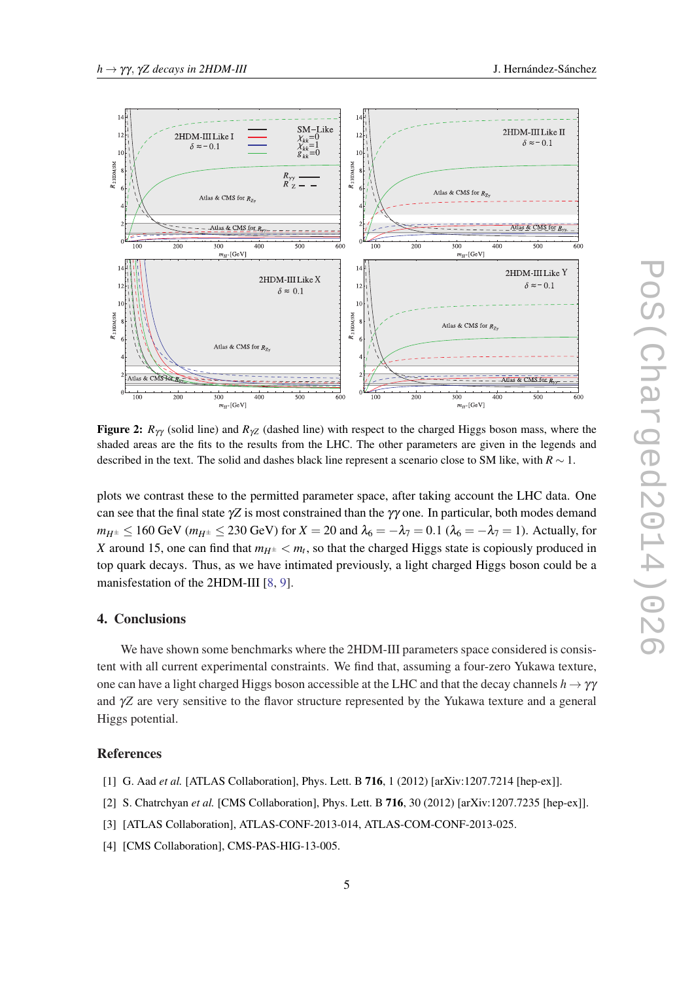<span id="page-4-0"></span>

Figure 2:  $R_{\gamma\gamma}$  (solid line) and  $R_{\gamma Z}$  (dashed line) with respect to the charged Higgs boson mass, where the shaded areas are the fits to the results from the LHC. The other parameters are given in the legends and described in the text. The solid and dashes black line represent a scenario close to SM like, with *R* ∼ 1.

plots we contrast these to the permitted parameter space, after taking account the LHC data. One can see that the final state  $\gamma Z$  is most constrained than the  $\gamma \gamma$  one. In particular, both modes demand *m*<sub>*H*<sup>±</sup> ≤ 160 GeV (*m*<sub>*H*</sub><sup>±</sup> ≤ 230 GeV) for *X* = 20 and  $\lambda$ <sub>6</sub> = − $\lambda$ <sub>7</sub> = 0.1 ( $\lambda$ <sub>6</sub> = − $\lambda$ <sub>7</sub> = 1). Actually, for</sub> *X* around 15, one can find that  $m_{H^{\pm}} < m_t$ , so that the charged Higgs state is copiously produced in top quark decays. Thus, as we have intimated previously, a light charged Higgs boson could be a manisfestation of the 2HDM-III [\[8,](#page-5-0) [9\]](#page-5-0).

## 4. Conclusions

We have shown some benchmarks where the 2HDM-III parameters space considered is consistent with all current experimental constraints. We find that, assuming a four-zero Yukawa texture, one can have a light charged Higgs boson accessible at the LHC and that the decay channels  $h \to \gamma\gamma$ and γ*Z* are very sensitive to the flavor structure represented by the Yukawa texture and a general Higgs potential.

#### References

- [1] G. Aad *et al.* [ATLAS Collaboration], Phys. Lett. B 716, 1 (2012) [arXiv:1207.7214 [hep-ex]].
- [2] S. Chatrchyan *et al.* [CMS Collaboration], Phys. Lett. B **716**, 30 (2012) [arXiv:1207.7235 [hep-ex]].
- [3] [ATLAS Collaboration], ATLAS-CONF-2013-014, ATLAS-COM-CONF-2013-025.
- [4] [CMS Collaboration], CMS-PAS-HIG-13-005.